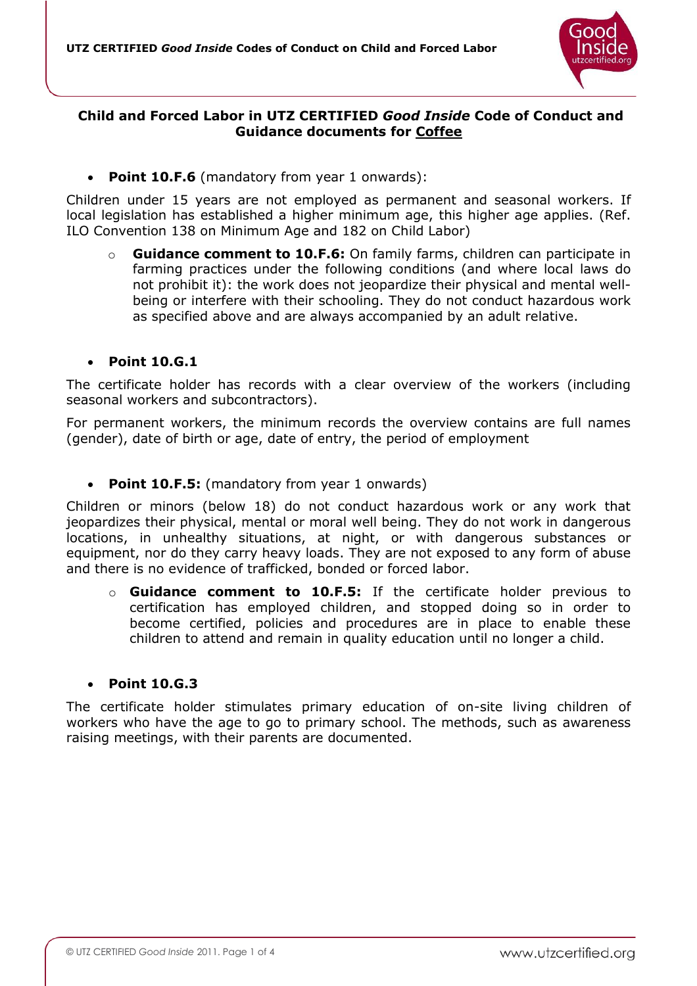

# **Child and Forced Labor in UTZ CERTIFIED** *Good Inside* **Code of Conduct and Guidance documents for Coffee**

**Point 10.F.6** (mandatory from year 1 onwards):

Children under 15 years are not employed as permanent and seasonal workers. If local legislation has established a higher minimum age, this higher age applies. (Ref. ILO Convention 138 on Minimum Age and 182 on Child Labor)

o **Guidance comment to 10.F.6:** On family farms, children can participate in farming practices under the following conditions (and where local laws do not prohibit it): the work does not jeopardize their physical and mental wellbeing or interfere with their schooling. They do not conduct hazardous work as specified above and are always accompanied by an adult relative.

#### **Point 10.G.1**

The certificate holder has records with a clear overview of the workers (including seasonal workers and subcontractors).

For permanent workers, the minimum records the overview contains are full names (gender), date of birth or age, date of entry, the period of employment

**Point 10.F.5:** (mandatory from year 1 onwards)

Children or minors (below 18) do not conduct hazardous work or any work that jeopardizes their physical, mental or moral well being. They do not work in dangerous locations, in unhealthy situations, at night, or with dangerous substances or equipment, nor do they carry heavy loads. They are not exposed to any form of abuse and there is no evidence of trafficked, bonded or forced labor.

o **Guidance comment to 10.F.5:** If the certificate holder previous to certification has employed children, and stopped doing so in order to become certified, policies and procedures are in place to enable these children to attend and remain in quality education until no longer a child.

#### **Point 10.G.3**

The certificate holder stimulates primary education of on-site living children of workers who have the age to go to primary school. The methods, such as awareness raising meetings, with their parents are documented.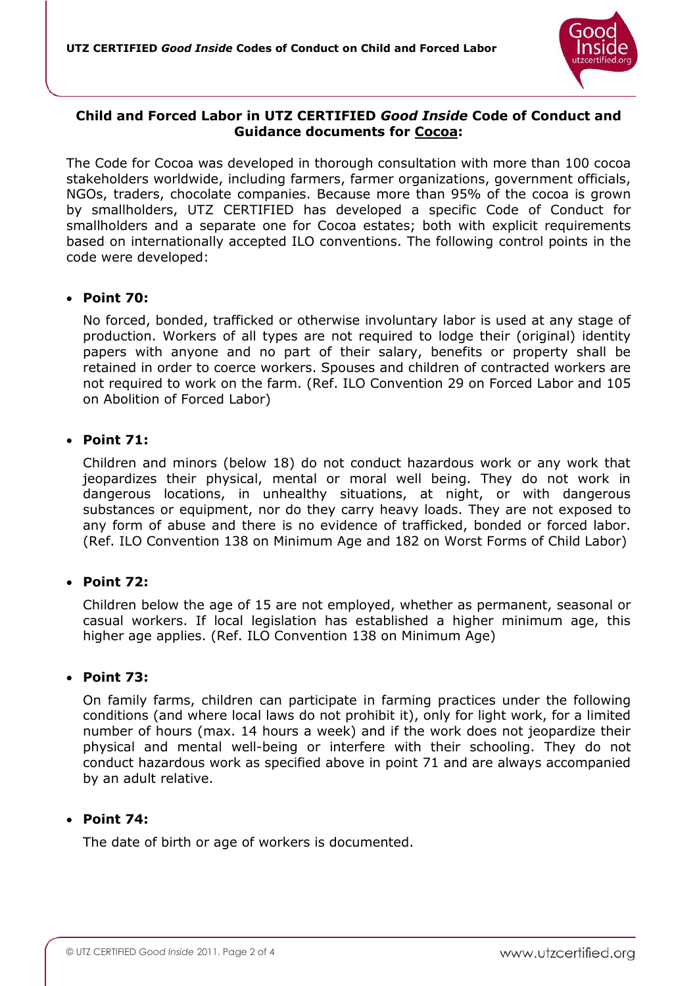

# **Child and Forced Labor in UTZ CERTIFIED** *Good Inside* **Code of Conduct and Guidance documents for Cocoa:**

The Code for Cocoa was developed in thorough consultation with more than 100 cocoa stakeholders worldwide, including farmers, farmer organizations, government officials, NGOs, traders, chocolate companies. Because more than 95% of the cocoa is grown by smallholders, UTZ CERTIFIED has developed a specific Code of Conduct for smallholders and a separate one for Cocoa estates; both with explicit requirements based on internationally accepted ILO conventions. The following control points in the code were developed:

# **Point 70:**

No forced, bonded, trafficked or otherwise involuntary labor is used at any stage of production. Workers of all types are not required to lodge their (original) identity papers with anyone and no part of their salary, benefits or property shall be retained in order to coerce workers. Spouses and children of contracted workers are not required to work on the farm. (Ref. ILO Convention 29 on Forced Labor and 105 on Abolition of Forced Labor)

# **Point 71:**

Children and minors (below 18) do not conduct hazardous work or any work that jeopardizes their physical, mental or moral well being. They do not work in dangerous locations, in unhealthy situations, at night, or with dangerous substances or equipment, nor do they carry heavy loads. They are not exposed to any form of abuse and there is no evidence of trafficked, bonded or forced labor. (Ref. ILO Convention 138 on Minimum Age and 182 on Worst Forms of Child Labor)

# **Point 72:**

Children below the age of 15 are not employed, whether as permanent, seasonal or casual workers. If local legislation has established a higher minimum age, this higher age applies. (Ref. ILO Convention 138 on Minimum Age)

# **Point 73:**

On family farms, children can participate in farming practices under the following conditions (and where local laws do not prohibit it), only for light work, for a limited number of hours (max. 14 hours a week) and if the work does not jeopardize their physical and mental well-being or interfere with their schooling. They do not conduct hazardous work as specified above in point 71 and are always accompanied by an adult relative.

# **Point 74:**

The date of birth or age of workers is documented.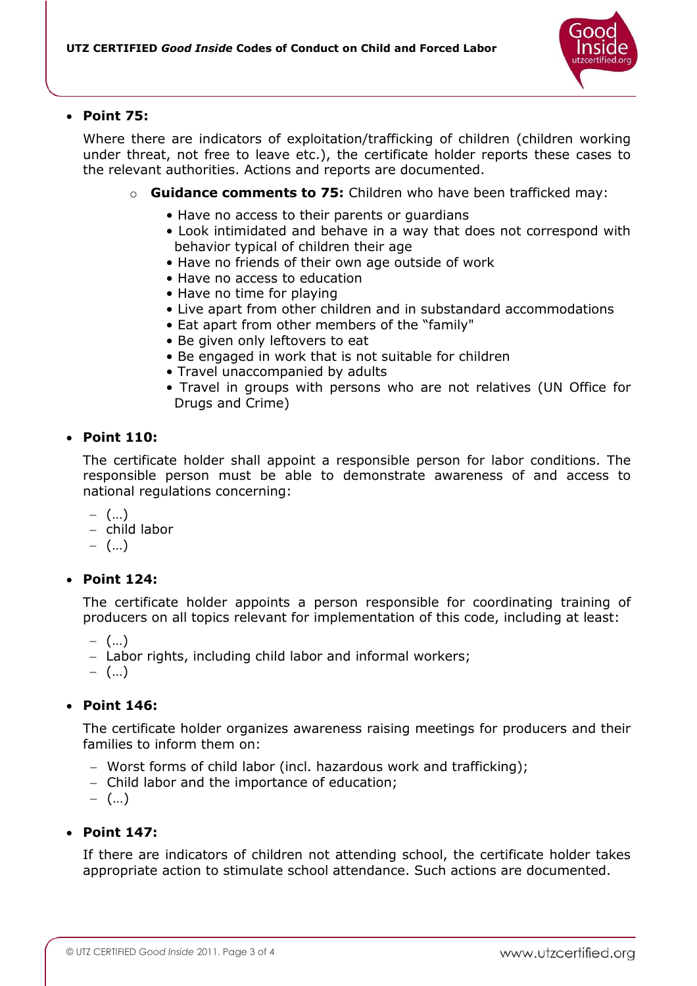

#### **Point 75:**

Where there are indicators of exploitation/trafficking of children (children working under threat, not free to leave etc.), the certificate holder reports these cases to the relevant authorities. Actions and reports are documented.

- o **Guidance comments to 75:** Children who have been trafficked may:
	- Have no access to their parents or guardians
	- Look intimidated and behave in a way that does not correspond with behavior typical of children their age
	- Have no friends of their own age outside of work
	- Have no access to education
	- Have no time for playing
	- Live apart from other children and in substandard accommodations
	- Eat apart from other members of the "family"
	- Be given only leftovers to eat
	- Be engaged in work that is not suitable for children
	- Travel unaccompanied by adults
	- Travel in groups with persons who are not relatives (UN Office for Drugs and Crime)

# **Point 110:**

The certificate holder shall appoint a responsible person for labor conditions. The responsible person must be able to demonstrate awareness of and access to national regulations concerning:

- $-$  (...)
- child labor
- $-$  (...)

# **Point 124:**

The certificate holder appoints a person responsible for coordinating training of producers on all topics relevant for implementation of this code, including at least:

 $-$  (...)

- Labor rights, including child labor and informal workers;
- $-$  (...)

# **Point 146:**

The certificate holder organizes awareness raising meetings for producers and their families to inform them on:

- Worst forms of child labor (incl. hazardous work and trafficking);
- Child labor and the importance of education;
- $-$  (...)

# **Point 147:**

If there are indicators of children not attending school, the certificate holder takes appropriate action to stimulate school attendance. Such actions are documented.